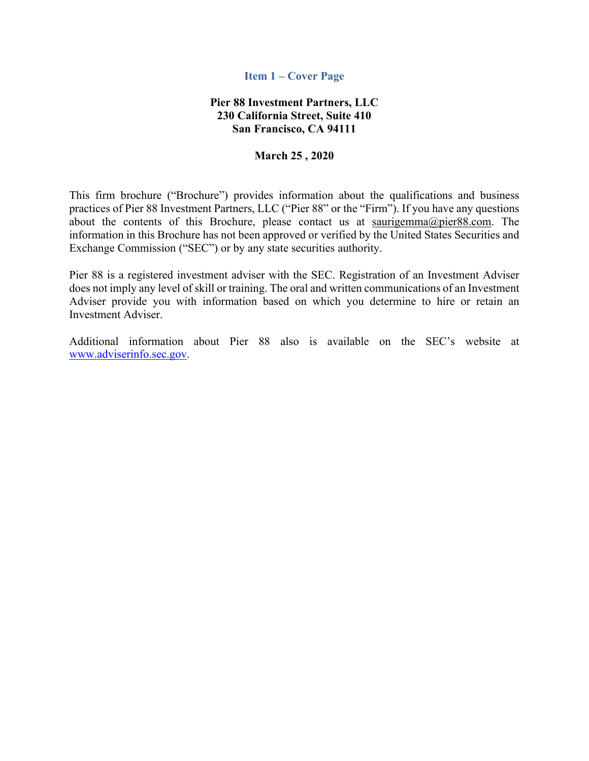#### **Item 1 – Cover Page**

# **Pier 88 Investment Partners, LLC 230 California Street, Suite 410 San Francisco, CA 94111**

#### **March 25 , 2020**

This firm brochure ("Brochure") provides information about the qualifications and business practices of Pier 88 Investment Partners, LLC ("Pier 88" or the "Firm"). If you have any questions about the contents of this Brochure, please contact us at saurigemma@pier88.com. The information in this Brochure has not been approved or verified by the United States Securities and Exchange Commission ("SEC") or by any state securities authority.

Pier 88 is a registered investment adviser with the SEC. Registration of an Investment Adviser does not imply any level of skill or training. The oral and written communications of an Investment Adviser provide you with information based on which you determine to hire or retain an Investment Adviser.

Additional information about Pier 88 also is available on the SEC's website at www.adviserinfo.sec.gov.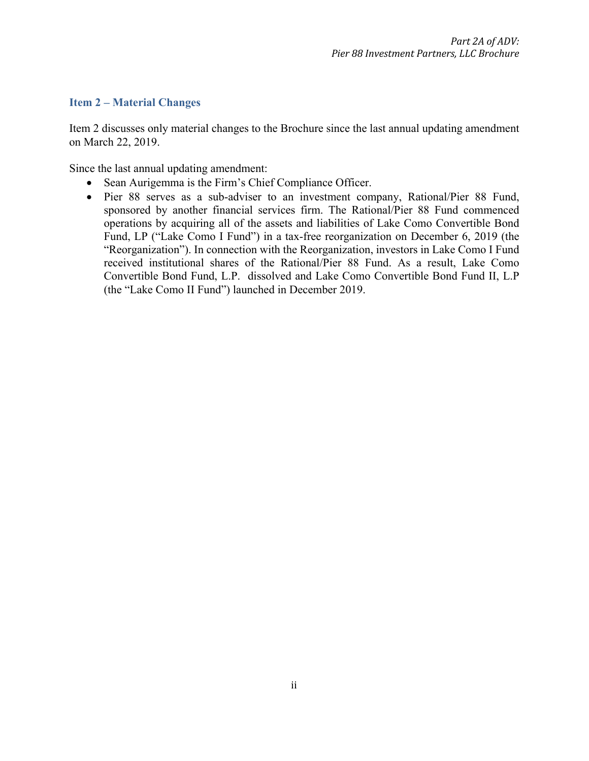### **Item 2 – Material Changes**

Item 2 discusses only material changes to the Brochure since the last annual updating amendment on March 22, 2019.

Since the last annual updating amendment:

- Sean Aurigemma is the Firm's Chief Compliance Officer.
- Pier 88 serves as a sub-adviser to an investment company, Rational/Pier 88 Fund, sponsored by another financial services firm. The Rational/Pier 88 Fund commenced operations by acquiring all of the assets and liabilities of Lake Como Convertible Bond Fund, LP ("Lake Como I Fund") in a tax-free reorganization on December 6, 2019 (the "Reorganization"). In connection with the Reorganization, investors in Lake Como I Fund received institutional shares of the Rational/Pier 88 Fund. As a result, Lake Como Convertible Bond Fund, L.P. dissolved and Lake Como Convertible Bond Fund II, L.P (the "Lake Como II Fund") launched in December 2019.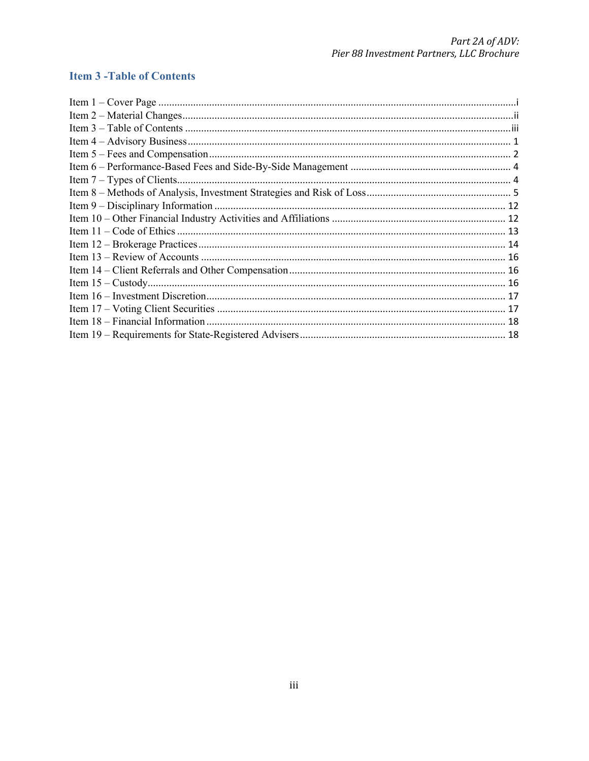# **Item 3 - Table of Contents**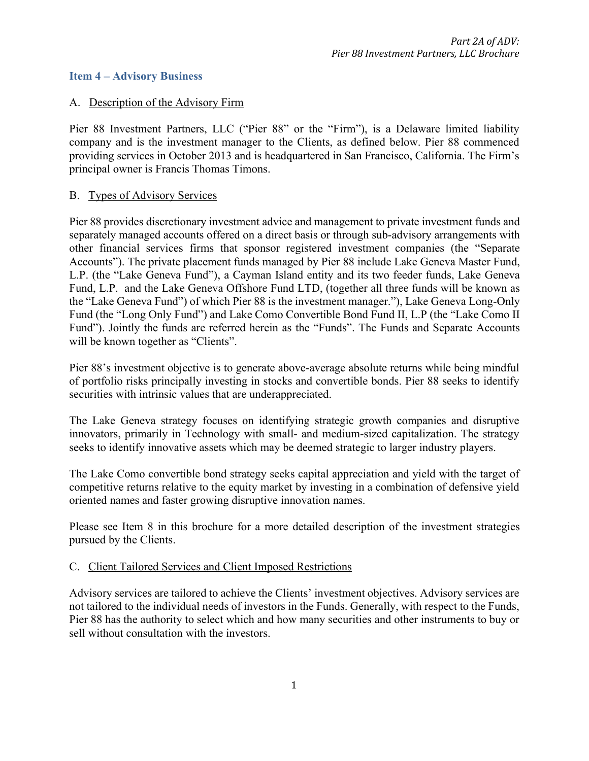### **Item 4 – Advisory Business**

### A. Description of the Advisory Firm

Pier 88 Investment Partners, LLC ("Pier 88" or the "Firm"), is a Delaware limited liability company and is the investment manager to the Clients, as defined below. Pier 88 commenced providing services in October 2013 and is headquartered in San Francisco, California. The Firm's principal owner is Francis Thomas Timons.

#### B. Types of Advisory Services

Pier 88 provides discretionary investment advice and management to private investment funds and separately managed accounts offered on a direct basis or through sub-advisory arrangements with other financial services firms that sponsor registered investment companies (the "Separate Accounts"). The private placement funds managed by Pier 88 include Lake Geneva Master Fund, L.P. (the "Lake Geneva Fund"), a Cayman Island entity and its two feeder funds, Lake Geneva Fund, L.P. and the Lake Geneva Offshore Fund LTD, (together all three funds will be known as the "Lake Geneva Fund") of which Pier 88 is the investment manager."), Lake Geneva Long-Only Fund (the "Long Only Fund") and Lake Como Convertible Bond Fund II, L.P (the "Lake Como II Fund"). Jointly the funds are referred herein as the "Funds". The Funds and Separate Accounts will be known together as "Clients".

Pier 88's investment objective is to generate above-average absolute returns while being mindful of portfolio risks principally investing in stocks and convertible bonds. Pier 88 seeks to identify securities with intrinsic values that are underappreciated.

The Lake Geneva strategy focuses on identifying strategic growth companies and disruptive innovators, primarily in Technology with small- and medium-sized capitalization. The strategy seeks to identify innovative assets which may be deemed strategic to larger industry players.

The Lake Como convertible bond strategy seeks capital appreciation and yield with the target of competitive returns relative to the equity market by investing in a combination of defensive yield oriented names and faster growing disruptive innovation names.

Please see Item 8 in this brochure for a more detailed description of the investment strategies pursued by the Clients.

### C. Client Tailored Services and Client Imposed Restrictions

Advisory services are tailored to achieve the Clients' investment objectives. Advisory services are not tailored to the individual needs of investors in the Funds. Generally, with respect to the Funds, Pier 88 has the authority to select which and how many securities and other instruments to buy or sell without consultation with the investors.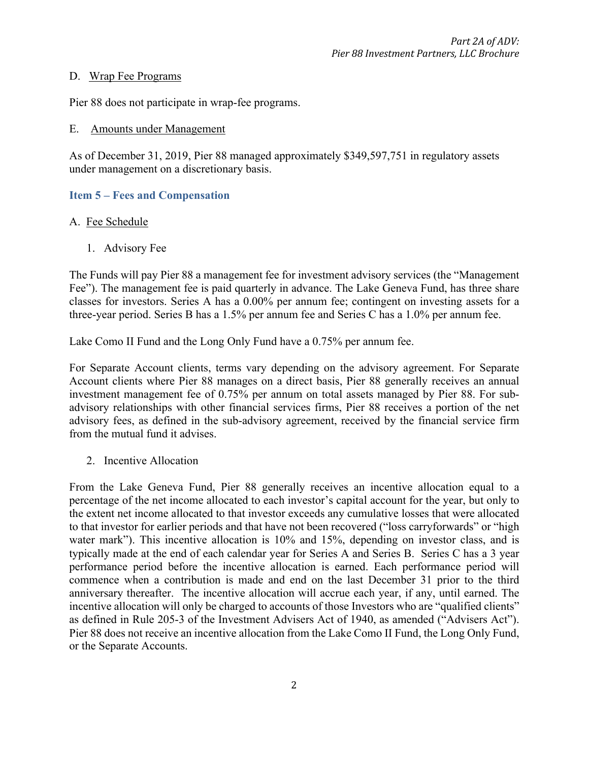#### D. Wrap Fee Programs

Pier 88 does not participate in wrap-fee programs.

#### E. Amounts under Management

As of December 31, 2019, Pier 88 managed approximately \$349,597,751 in regulatory assets under management on a discretionary basis.

# **Item 5 – Fees and Compensation**

### A. Fee Schedule

1. Advisory Fee

The Funds will pay Pier 88 a management fee for investment advisory services (the "Management Fee"). The management fee is paid quarterly in advance. The Lake Geneva Fund, has three share classes for investors. Series A has a 0.00% per annum fee; contingent on investing assets for a three-year period. Series B has a 1.5% per annum fee and Series C has a 1.0% per annum fee.

Lake Como II Fund and the Long Only Fund have a 0.75% per annum fee.

For Separate Account clients, terms vary depending on the advisory agreement. For Separate Account clients where Pier 88 manages on a direct basis, Pier 88 generally receives an annual investment management fee of 0.75% per annum on total assets managed by Pier 88. For subadvisory relationships with other financial services firms, Pier 88 receives a portion of the net advisory fees, as defined in the sub-advisory agreement, received by the financial service firm from the mutual fund it advises.

2. Incentive Allocation

From the Lake Geneva Fund, Pier 88 generally receives an incentive allocation equal to a percentage of the net income allocated to each investor's capital account for the year, but only to the extent net income allocated to that investor exceeds any cumulative losses that were allocated to that investor for earlier periods and that have not been recovered ("loss carryforwards" or "high water mark"). This incentive allocation is 10% and 15%, depending on investor class, and is typically made at the end of each calendar year for Series A and Series B. Series C has a 3 year performance period before the incentive allocation is earned. Each performance period will commence when a contribution is made and end on the last December 31 prior to the third anniversary thereafter. The incentive allocation will accrue each year, if any, until earned. The incentive allocation will only be charged to accounts of those Investors who are "qualified clients" as defined in Rule 205-3 of the Investment Advisers Act of 1940, as amended ("Advisers Act"). Pier 88 does not receive an incentive allocation from the Lake Como II Fund, the Long Only Fund, or the Separate Accounts.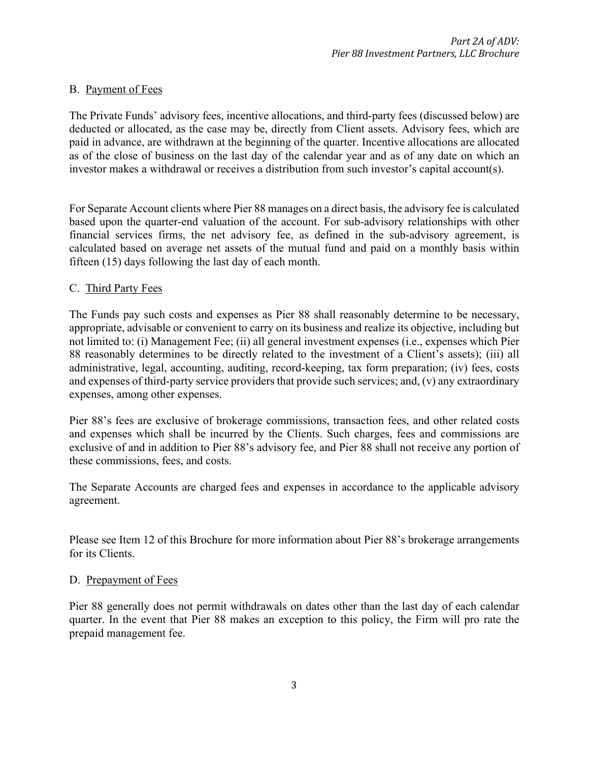# B. Payment of Fees

The Private Funds' advisory fees, incentive allocations, and third-party fees (discussed below) are deducted or allocated, as the case may be, directly from Client assets. Advisory fees, which are paid in advance, are withdrawn at the beginning of the quarter. Incentive allocations are allocated as of the close of business on the last day of the calendar year and as of any date on which an investor makes a withdrawal or receives a distribution from such investor's capital account(s).

For Separate Account clients where Pier 88 manages on a direct basis, the advisory fee is calculated based upon the quarter-end valuation of the account. For sub-advisory relationships with other financial services firms, the net advisory fee, as defined in the sub-advisory agreement, is calculated based on average net assets of the mutual fund and paid on a monthly basis within fifteen (15) days following the last day of each month.

# C. Third Party Fees

The Funds pay such costs and expenses as Pier 88 shall reasonably determine to be necessary, appropriate, advisable or convenient to carry on its business and realize its objective, including but not limited to: (i) Management Fee; (ii) all general investment expenses (i.e., expenses which Pier 88 reasonably determines to be directly related to the investment of a Client's assets); (iii) all administrative, legal, accounting, auditing, record-keeping, tax form preparation; (iv) fees, costs and expenses of third-party service providers that provide such services; and, (v) any extraordinary expenses, among other expenses.

Pier 88's fees are exclusive of brokerage commissions, transaction fees, and other related costs and expenses which shall be incurred by the Clients. Such charges, fees and commissions are exclusive of and in addition to Pier 88's advisory fee, and Pier 88 shall not receive any portion of these commissions, fees, and costs.

The Separate Accounts are charged fees and expenses in accordance to the applicable advisory agreement.

Please see Item 12 of this Brochure for more information about Pier 88's brokerage arrangements for its Clients.

### D. Prepayment of Fees

Pier 88 generally does not permit withdrawals on dates other than the last day of each calendar quarter. In the event that Pier 88 makes an exception to this policy, the Firm will pro rate the prepaid management fee.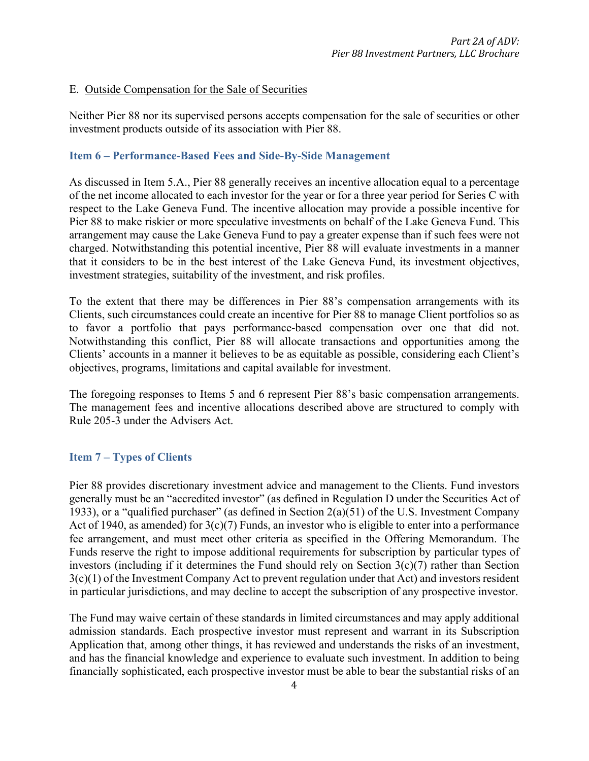# E. Outside Compensation for the Sale of Securities

Neither Pier 88 nor its supervised persons accepts compensation for the sale of securities or other investment products outside of its association with Pier 88.

## **Item 6 – Performance-Based Fees and Side-By-Side Management**

As discussed in Item 5.A., Pier 88 generally receives an incentive allocation equal to a percentage of the net income allocated to each investor for the year or for a three year period for Series C with respect to the Lake Geneva Fund. The incentive allocation may provide a possible incentive for Pier 88 to make riskier or more speculative investments on behalf of the Lake Geneva Fund. This arrangement may cause the Lake Geneva Fund to pay a greater expense than if such fees were not charged. Notwithstanding this potential incentive, Pier 88 will evaluate investments in a manner that it considers to be in the best interest of the Lake Geneva Fund, its investment objectives, investment strategies, suitability of the investment, and risk profiles.

To the extent that there may be differences in Pier 88's compensation arrangements with its Clients, such circumstances could create an incentive for Pier 88 to manage Client portfolios so as to favor a portfolio that pays performance-based compensation over one that did not. Notwithstanding this conflict, Pier 88 will allocate transactions and opportunities among the Clients' accounts in a manner it believes to be as equitable as possible, considering each Client's objectives, programs, limitations and capital available for investment.

The foregoing responses to Items 5 and 6 represent Pier 88's basic compensation arrangements. The management fees and incentive allocations described above are structured to comply with Rule 205-3 under the Advisers Act.

# **Item 7 – Types of Clients**

Pier 88 provides discretionary investment advice and management to the Clients. Fund investors generally must be an "accredited investor" (as defined in Regulation D under the Securities Act of 1933), or a "qualified purchaser" (as defined in Section 2(a)(51) of the U.S. Investment Company Act of 1940, as amended) for  $3(c)(7)$  Funds, an investor who is eligible to enter into a performance fee arrangement, and must meet other criteria as specified in the Offering Memorandum. The Funds reserve the right to impose additional requirements for subscription by particular types of investors (including if it determines the Fund should rely on Section 3(c)(7) rather than Section 3(c)(1) of the Investment Company Act to prevent regulation under that Act) and investors resident in particular jurisdictions, and may decline to accept the subscription of any prospective investor.

The Fund may waive certain of these standards in limited circumstances and may apply additional admission standards. Each prospective investor must represent and warrant in its Subscription Application that, among other things, it has reviewed and understands the risks of an investment, and has the financial knowledge and experience to evaluate such investment. In addition to being financially sophisticated, each prospective investor must be able to bear the substantial risks of an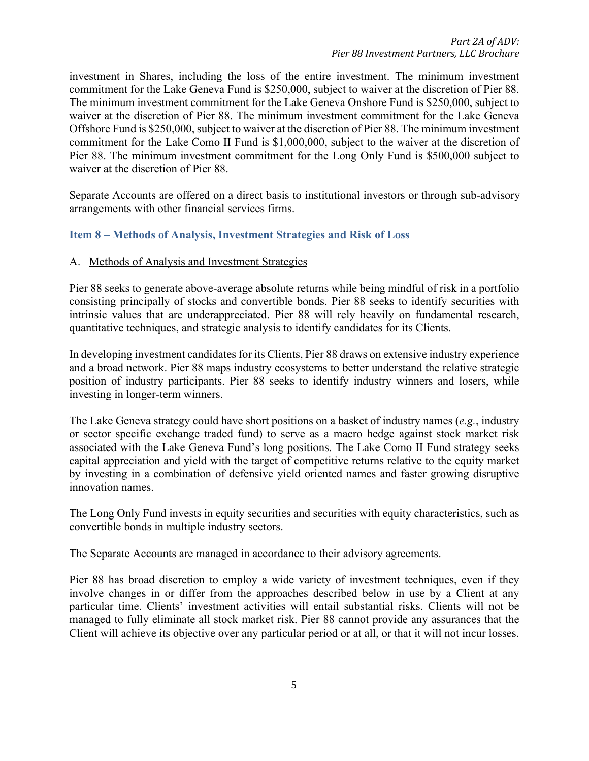investment in Shares, including the loss of the entire investment. The minimum investment commitment for the Lake Geneva Fund is \$250,000, subject to waiver at the discretion of Pier 88. The minimum investment commitment for the Lake Geneva Onshore Fund is \$250,000, subject to waiver at the discretion of Pier 88. The minimum investment commitment for the Lake Geneva Offshore Fund is \$250,000, subject to waiver at the discretion of Pier 88. The minimum investment commitment for the Lake Como II Fund is \$1,000,000, subject to the waiver at the discretion of Pier 88. The minimum investment commitment for the Long Only Fund is \$500,000 subject to waiver at the discretion of Pier 88.

Separate Accounts are offered on a direct basis to institutional investors or through sub-advisory arrangements with other financial services firms.

# **Item 8 – Methods of Analysis, Investment Strategies and Risk of Loss**

#### A. Methods of Analysis and Investment Strategies

Pier 88 seeks to generate above-average absolute returns while being mindful of risk in a portfolio consisting principally of stocks and convertible bonds. Pier 88 seeks to identify securities with intrinsic values that are underappreciated. Pier 88 will rely heavily on fundamental research, quantitative techniques, and strategic analysis to identify candidates for its Clients.

In developing investment candidates for its Clients, Pier 88 draws on extensive industry experience and a broad network. Pier 88 maps industry ecosystems to better understand the relative strategic position of industry participants. Pier 88 seeks to identify industry winners and losers, while investing in longer-term winners.

The Lake Geneva strategy could have short positions on a basket of industry names (*e.g.*, industry or sector specific exchange traded fund) to serve as a macro hedge against stock market risk associated with the Lake Geneva Fund's long positions. The Lake Como II Fund strategy seeks capital appreciation and yield with the target of competitive returns relative to the equity market by investing in a combination of defensive yield oriented names and faster growing disruptive innovation names.

The Long Only Fund invests in equity securities and securities with equity characteristics, such as convertible bonds in multiple industry sectors.

The Separate Accounts are managed in accordance to their advisory agreements.

Pier 88 has broad discretion to employ a wide variety of investment techniques, even if they involve changes in or differ from the approaches described below in use by a Client at any particular time. Clients' investment activities will entail substantial risks. Clients will not be managed to fully eliminate all stock market risk. Pier 88 cannot provide any assurances that the Client will achieve its objective over any particular period or at all, or that it will not incur losses.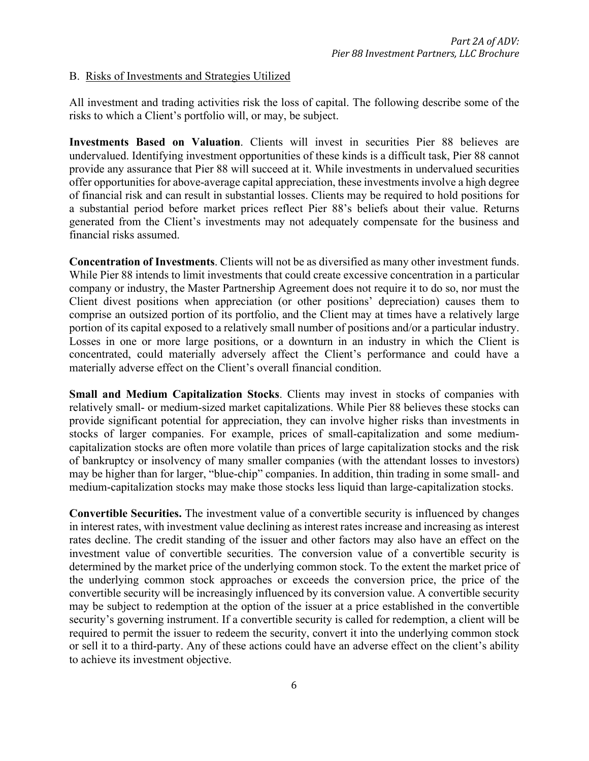#### B. Risks of Investments and Strategies Utilized

All investment and trading activities risk the loss of capital. The following describe some of the risks to which a Client's portfolio will, or may, be subject.

**Investments Based on Valuation**. Clients will invest in securities Pier 88 believes are undervalued. Identifying investment opportunities of these kinds is a difficult task, Pier 88 cannot provide any assurance that Pier 88 will succeed at it. While investments in undervalued securities offer opportunities for above-average capital appreciation, these investments involve a high degree of financial risk and can result in substantial losses. Clients may be required to hold positions for a substantial period before market prices reflect Pier 88's beliefs about their value. Returns generated from the Client's investments may not adequately compensate for the business and financial risks assumed.

**Concentration of Investments**. Clients will not be as diversified as many other investment funds. While Pier 88 intends to limit investments that could create excessive concentration in a particular company or industry, the Master Partnership Agreement does not require it to do so, nor must the Client divest positions when appreciation (or other positions' depreciation) causes them to comprise an outsized portion of its portfolio, and the Client may at times have a relatively large portion of its capital exposed to a relatively small number of positions and/or a particular industry. Losses in one or more large positions, or a downturn in an industry in which the Client is concentrated, could materially adversely affect the Client's performance and could have a materially adverse effect on the Client's overall financial condition.

**Small and Medium Capitalization Stocks**. Clients may invest in stocks of companies with relatively small- or medium-sized market capitalizations. While Pier 88 believes these stocks can provide significant potential for appreciation, they can involve higher risks than investments in stocks of larger companies. For example, prices of small-capitalization and some mediumcapitalization stocks are often more volatile than prices of large capitalization stocks and the risk of bankruptcy or insolvency of many smaller companies (with the attendant losses to investors) may be higher than for larger, "blue-chip" companies. In addition, thin trading in some small- and medium-capitalization stocks may make those stocks less liquid than large-capitalization stocks.

**Convertible Securities.** The investment value of a convertible security is influenced by changes in interest rates, with investment value declining as interest rates increase and increasing as interest rates decline. The credit standing of the issuer and other factors may also have an effect on the investment value of convertible securities. The conversion value of a convertible security is determined by the market price of the underlying common stock. To the extent the market price of the underlying common stock approaches or exceeds the conversion price, the price of the convertible security will be increasingly influenced by its conversion value. A convertible security may be subject to redemption at the option of the issuer at a price established in the convertible security's governing instrument. If a convertible security is called for redemption, a client will be required to permit the issuer to redeem the security, convert it into the underlying common stock or sell it to a third-party. Any of these actions could have an adverse effect on the client's ability to achieve its investment objective.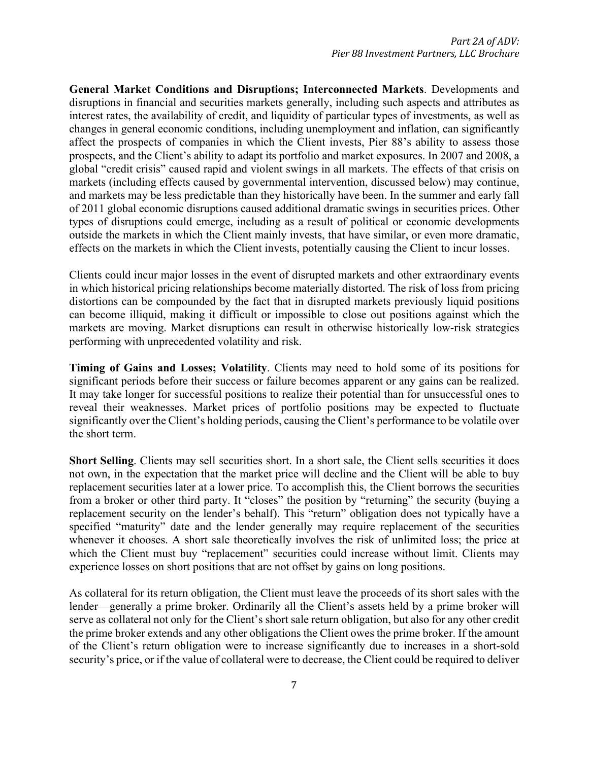**General Market Conditions and Disruptions; Interconnected Markets**. Developments and disruptions in financial and securities markets generally, including such aspects and attributes as interest rates, the availability of credit, and liquidity of particular types of investments, as well as changes in general economic conditions, including unemployment and inflation, can significantly affect the prospects of companies in which the Client invests, Pier 88's ability to assess those prospects, and the Client's ability to adapt its portfolio and market exposures. In 2007 and 2008, a global "credit crisis" caused rapid and violent swings in all markets. The effects of that crisis on markets (including effects caused by governmental intervention, discussed below) may continue, and markets may be less predictable than they historically have been. In the summer and early fall of 2011 global economic disruptions caused additional dramatic swings in securities prices. Other types of disruptions could emerge, including as a result of political or economic developments outside the markets in which the Client mainly invests, that have similar, or even more dramatic, effects on the markets in which the Client invests, potentially causing the Client to incur losses.

Clients could incur major losses in the event of disrupted markets and other extraordinary events in which historical pricing relationships become materially distorted. The risk of loss from pricing distortions can be compounded by the fact that in disrupted markets previously liquid positions can become illiquid, making it difficult or impossible to close out positions against which the markets are moving. Market disruptions can result in otherwise historically low-risk strategies performing with unprecedented volatility and risk.

**Timing of Gains and Losses; Volatility**. Clients may need to hold some of its positions for significant periods before their success or failure becomes apparent or any gains can be realized. It may take longer for successful positions to realize their potential than for unsuccessful ones to reveal their weaknesses. Market prices of portfolio positions may be expected to fluctuate significantly over the Client's holding periods, causing the Client's performance to be volatile over the short term.

**Short Selling**. Clients may sell securities short. In a short sale, the Client sells securities it does not own, in the expectation that the market price will decline and the Client will be able to buy replacement securities later at a lower price. To accomplish this, the Client borrows the securities from a broker or other third party. It "closes" the position by "returning" the security (buying a replacement security on the lender's behalf). This "return" obligation does not typically have a specified "maturity" date and the lender generally may require replacement of the securities whenever it chooses. A short sale theoretically involves the risk of unlimited loss; the price at which the Client must buy "replacement" securities could increase without limit. Clients may experience losses on short positions that are not offset by gains on long positions.

As collateral for its return obligation, the Client must leave the proceeds of its short sales with the lender—generally a prime broker. Ordinarily all the Client's assets held by a prime broker will serve as collateral not only for the Client's short sale return obligation, but also for any other credit the prime broker extends and any other obligations the Client owes the prime broker. If the amount of the Client's return obligation were to increase significantly due to increases in a short-sold security's price, or if the value of collateral were to decrease, the Client could be required to deliver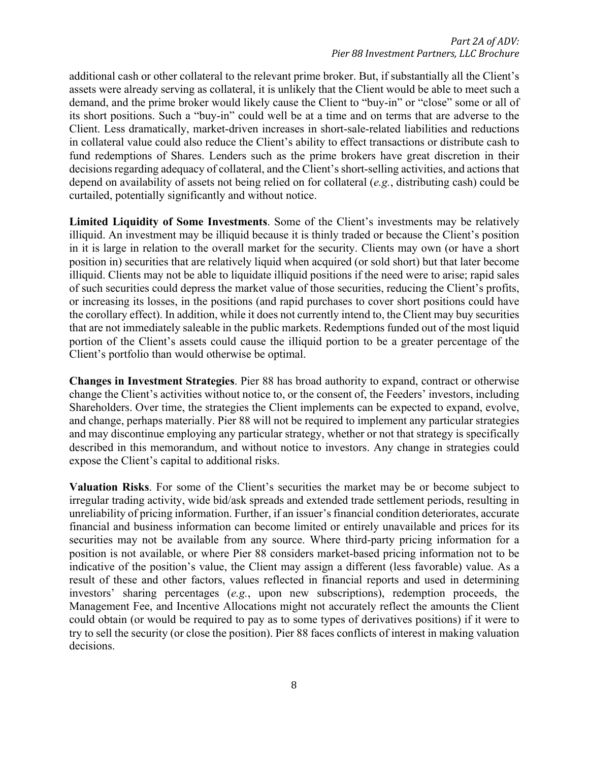additional cash or other collateral to the relevant prime broker. But, if substantially all the Client's assets were already serving as collateral, it is unlikely that the Client would be able to meet such a demand, and the prime broker would likely cause the Client to "buy-in" or "close" some or all of its short positions. Such a "buy-in" could well be at a time and on terms that are adverse to the Client. Less dramatically, market-driven increases in short-sale-related liabilities and reductions in collateral value could also reduce the Client's ability to effect transactions or distribute cash to fund redemptions of Shares. Lenders such as the prime brokers have great discretion in their decisions regarding adequacy of collateral, and the Client's short-selling activities, and actions that depend on availability of assets not being relied on for collateral (*e.g.*, distributing cash) could be curtailed, potentially significantly and without notice.

**Limited Liquidity of Some Investments**. Some of the Client's investments may be relatively illiquid. An investment may be illiquid because it is thinly traded or because the Client's position in it is large in relation to the overall market for the security. Clients may own (or have a short position in) securities that are relatively liquid when acquired (or sold short) but that later become illiquid. Clients may not be able to liquidate illiquid positions if the need were to arise; rapid sales of such securities could depress the market value of those securities, reducing the Client's profits, or increasing its losses, in the positions (and rapid purchases to cover short positions could have the corollary effect). In addition, while it does not currently intend to, the Client may buy securities that are not immediately saleable in the public markets. Redemptions funded out of the most liquid portion of the Client's assets could cause the illiquid portion to be a greater percentage of the Client's portfolio than would otherwise be optimal.

**Changes in Investment Strategies**. Pier 88 has broad authority to expand, contract or otherwise change the Client's activities without notice to, or the consent of, the Feeders' investors, including Shareholders. Over time, the strategies the Client implements can be expected to expand, evolve, and change, perhaps materially. Pier 88 will not be required to implement any particular strategies and may discontinue employing any particular strategy, whether or not that strategy is specifically described in this memorandum, and without notice to investors. Any change in strategies could expose the Client's capital to additional risks.

**Valuation Risks**. For some of the Client's securities the market may be or become subject to irregular trading activity, wide bid/ask spreads and extended trade settlement periods, resulting in unreliability of pricing information. Further, if an issuer's financial condition deteriorates, accurate financial and business information can become limited or entirely unavailable and prices for its securities may not be available from any source. Where third-party pricing information for a position is not available, or where Pier 88 considers market-based pricing information not to be indicative of the position's value, the Client may assign a different (less favorable) value. As a result of these and other factors, values reflected in financial reports and used in determining investors' sharing percentages (*e.g.*, upon new subscriptions), redemption proceeds, the Management Fee, and Incentive Allocations might not accurately reflect the amounts the Client could obtain (or would be required to pay as to some types of derivatives positions) if it were to try to sell the security (or close the position). Pier 88 faces conflicts of interest in making valuation decisions.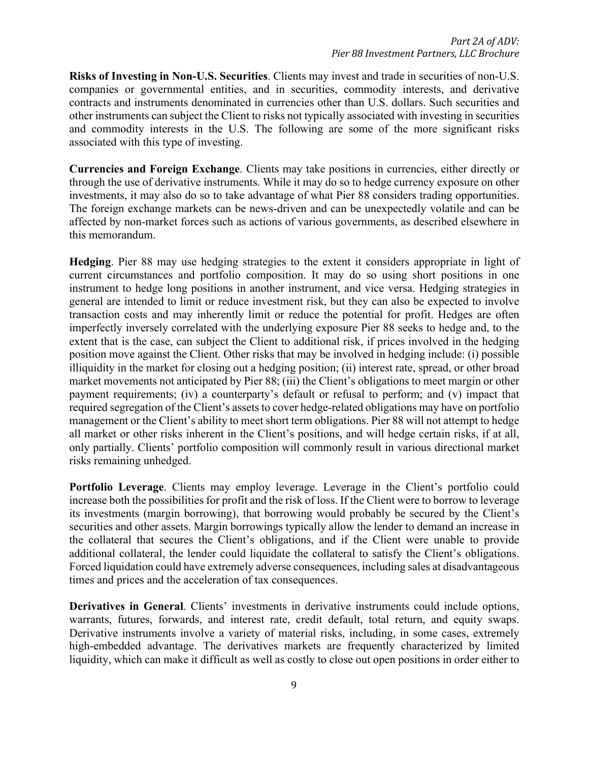**Risks of Investing in Non-U.S. Securities**. Clients may invest and trade in securities of non-U.S. companies or governmental entities, and in securities, commodity interests, and derivative contracts and instruments denominated in currencies other than U.S. dollars. Such securities and other instruments can subject the Client to risks not typically associated with investing in securities and commodity interests in the U.S. The following are some of the more significant risks associated with this type of investing.

**Currencies and Foreign Exchange**. Clients may take positions in currencies, either directly or through the use of derivative instruments. While it may do so to hedge currency exposure on other investments, it may also do so to take advantage of what Pier 88 considers trading opportunities. The foreign exchange markets can be news-driven and can be unexpectedly volatile and can be affected by non-market forces such as actions of various governments, as described elsewhere in this memorandum.

**Hedging**. Pier 88 may use hedging strategies to the extent it considers appropriate in light of current circumstances and portfolio composition. It may do so using short positions in one instrument to hedge long positions in another instrument, and vice versa. Hedging strategies in general are intended to limit or reduce investment risk, but they can also be expected to involve transaction costs and may inherently limit or reduce the potential for profit. Hedges are often imperfectly inversely correlated with the underlying exposure Pier 88 seeks to hedge and, to the extent that is the case, can subject the Client to additional risk, if prices involved in the hedging position move against the Client. Other risks that may be involved in hedging include: (i) possible illiquidity in the market for closing out a hedging position; (ii) interest rate, spread, or other broad market movements not anticipated by Pier 88; (iii) the Client's obligations to meet margin or other payment requirements; (iv) a counterparty's default or refusal to perform; and (v) impact that required segregation of the Client's assets to cover hedge-related obligations may have on portfolio management or the Client's ability to meet short term obligations. Pier 88 will not attempt to hedge all market or other risks inherent in the Client's positions, and will hedge certain risks, if at all, only partially. Clients' portfolio composition will commonly result in various directional market risks remaining unhedged.

**Portfolio Leverage**. Clients may employ leverage. Leverage in the Client's portfolio could increase both the possibilities for profit and the risk of loss. If the Client were to borrow to leverage its investments (margin borrowing), that borrowing would probably be secured by the Client's securities and other assets. Margin borrowings typically allow the lender to demand an increase in the collateral that secures the Client's obligations, and if the Client were unable to provide additional collateral, the lender could liquidate the collateral to satisfy the Client's obligations. Forced liquidation could have extremely adverse consequences, including sales at disadvantageous times and prices and the acceleration of tax consequences.

**Derivatives in General**. Clients' investments in derivative instruments could include options, warrants, futures, forwards, and interest rate, credit default, total return, and equity swaps. Derivative instruments involve a variety of material risks, including, in some cases, extremely high-embedded advantage. The derivatives markets are frequently characterized by limited liquidity, which can make it difficult as well as costly to close out open positions in order either to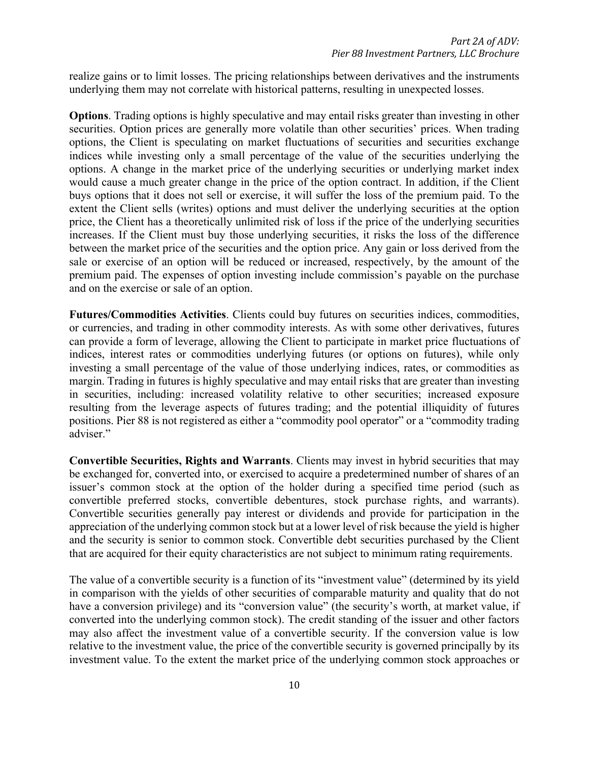realize gains or to limit losses. The pricing relationships between derivatives and the instruments underlying them may not correlate with historical patterns, resulting in unexpected losses.

**Options**. Trading options is highly speculative and may entail risks greater than investing in other securities. Option prices are generally more volatile than other securities' prices. When trading options, the Client is speculating on market fluctuations of securities and securities exchange indices while investing only a small percentage of the value of the securities underlying the options. A change in the market price of the underlying securities or underlying market index would cause a much greater change in the price of the option contract. In addition, if the Client buys options that it does not sell or exercise, it will suffer the loss of the premium paid. To the extent the Client sells (writes) options and must deliver the underlying securities at the option price, the Client has a theoretically unlimited risk of loss if the price of the underlying securities increases. If the Client must buy those underlying securities, it risks the loss of the difference between the market price of the securities and the option price. Any gain or loss derived from the sale or exercise of an option will be reduced or increased, respectively, by the amount of the premium paid. The expenses of option investing include commission's payable on the purchase and on the exercise or sale of an option.

**Futures/Commodities Activities**. Clients could buy futures on securities indices, commodities, or currencies, and trading in other commodity interests. As with some other derivatives, futures can provide a form of leverage, allowing the Client to participate in market price fluctuations of indices, interest rates or commodities underlying futures (or options on futures), while only investing a small percentage of the value of those underlying indices, rates, or commodities as margin. Trading in futures is highly speculative and may entail risks that are greater than investing in securities, including: increased volatility relative to other securities; increased exposure resulting from the leverage aspects of futures trading; and the potential illiquidity of futures positions. Pier 88 is not registered as either a "commodity pool operator" or a "commodity trading adviser."

**Convertible Securities, Rights and Warrants**. Clients may invest in hybrid securities that may be exchanged for, converted into, or exercised to acquire a predetermined number of shares of an issuer's common stock at the option of the holder during a specified time period (such as convertible preferred stocks, convertible debentures, stock purchase rights, and warrants). Convertible securities generally pay interest or dividends and provide for participation in the appreciation of the underlying common stock but at a lower level of risk because the yield is higher and the security is senior to common stock. Convertible debt securities purchased by the Client that are acquired for their equity characteristics are not subject to minimum rating requirements.

The value of a convertible security is a function of its "investment value" (determined by its yield in comparison with the yields of other securities of comparable maturity and quality that do not have a conversion privilege) and its "conversion value" (the security's worth, at market value, if converted into the underlying common stock). The credit standing of the issuer and other factors may also affect the investment value of a convertible security. If the conversion value is low relative to the investment value, the price of the convertible security is governed principally by its investment value. To the extent the market price of the underlying common stock approaches or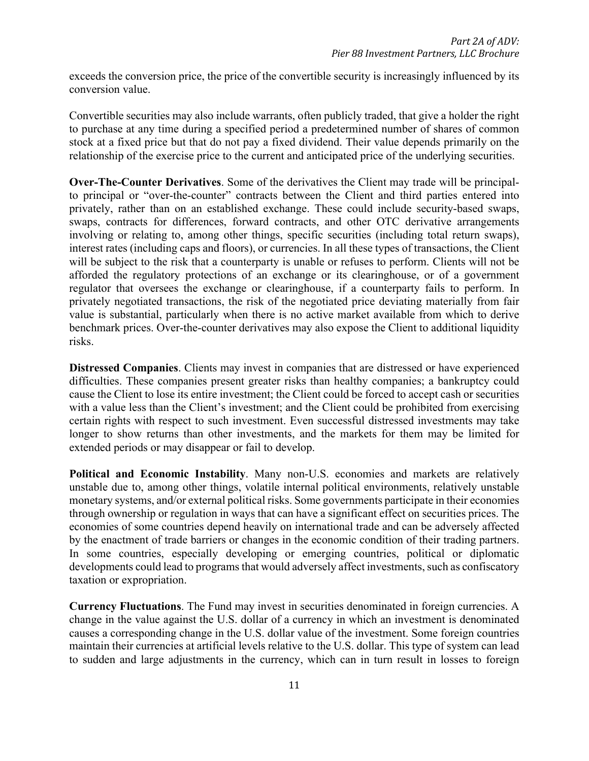exceeds the conversion price, the price of the convertible security is increasingly influenced by its conversion value.

Convertible securities may also include warrants, often publicly traded, that give a holder the right to purchase at any time during a specified period a predetermined number of shares of common stock at a fixed price but that do not pay a fixed dividend. Their value depends primarily on the relationship of the exercise price to the current and anticipated price of the underlying securities.

**Over-The-Counter Derivatives**. Some of the derivatives the Client may trade will be principalto principal or "over-the-counter" contracts between the Client and third parties entered into privately, rather than on an established exchange. These could include security-based swaps, swaps, contracts for differences, forward contracts, and other OTC derivative arrangements involving or relating to, among other things, specific securities (including total return swaps), interest rates (including caps and floors), or currencies. In all these types of transactions, the Client will be subject to the risk that a counterparty is unable or refuses to perform. Clients will not be afforded the regulatory protections of an exchange or its clearinghouse, or of a government regulator that oversees the exchange or clearinghouse, if a counterparty fails to perform. In privately negotiated transactions, the risk of the negotiated price deviating materially from fair value is substantial, particularly when there is no active market available from which to derive benchmark prices. Over-the-counter derivatives may also expose the Client to additional liquidity risks.

**Distressed Companies**. Clients may invest in companies that are distressed or have experienced difficulties. These companies present greater risks than healthy companies; a bankruptcy could cause the Client to lose its entire investment; the Client could be forced to accept cash or securities with a value less than the Client's investment; and the Client could be prohibited from exercising certain rights with respect to such investment. Even successful distressed investments may take longer to show returns than other investments, and the markets for them may be limited for extended periods or may disappear or fail to develop.

**Political and Economic Instability**. Many non-U.S. economies and markets are relatively unstable due to, among other things, volatile internal political environments, relatively unstable monetary systems, and/or external political risks. Some governments participate in their economies through ownership or regulation in ways that can have a significant effect on securities prices. The economies of some countries depend heavily on international trade and can be adversely affected by the enactment of trade barriers or changes in the economic condition of their trading partners. In some countries, especially developing or emerging countries, political or diplomatic developments could lead to programs that would adversely affect investments, such as confiscatory taxation or expropriation.

**Currency Fluctuations**. The Fund may invest in securities denominated in foreign currencies. A change in the value against the U.S. dollar of a currency in which an investment is denominated causes a corresponding change in the U.S. dollar value of the investment. Some foreign countries maintain their currencies at artificial levels relative to the U.S. dollar. This type of system can lead to sudden and large adjustments in the currency, which can in turn result in losses to foreign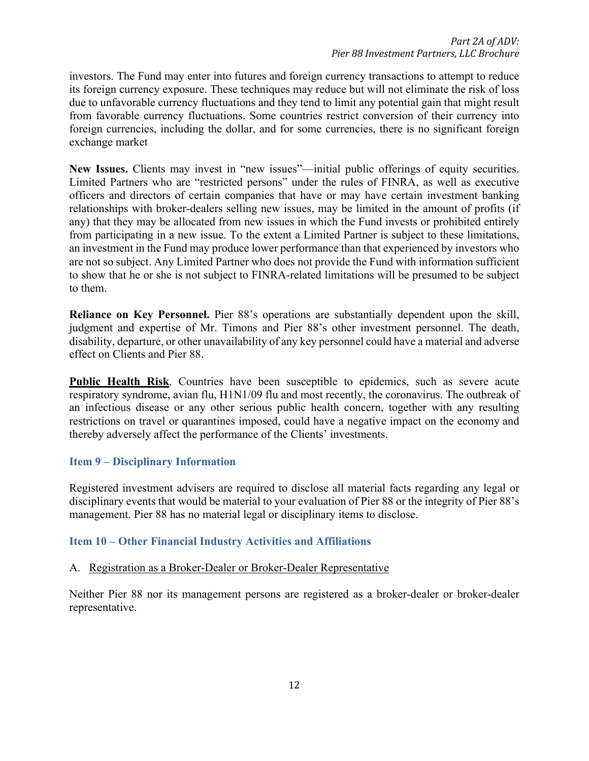investors. The Fund may enter into futures and foreign currency transactions to attempt to reduce its foreign currency exposure. These techniques may reduce but will not eliminate the risk of loss due to unfavorable currency fluctuations and they tend to limit any potential gain that might result from favorable currency fluctuations. Some countries restrict conversion of their currency into foreign currencies, including the dollar, and for some currencies, there is no significant foreign exchange market

**New Issues.** Clients may invest in "new issues"—initial public offerings of equity securities. Limited Partners who are "restricted persons" under the rules of FINRA, as well as executive officers and directors of certain companies that have or may have certain investment banking relationships with broker-dealers selling new issues, may be limited in the amount of profits (if any) that they may be allocated from new issues in which the Fund invests or prohibited entirely from participating in a new issue. To the extent a Limited Partner is subject to these limitations, an investment in the Fund may produce lower performance than that experienced by investors who are not so subject. Any Limited Partner who does not provide the Fund with information sufficient to show that he or she is not subject to FINRA-related limitations will be presumed to be subject to them.

**Reliance on Key Personnel.** Pier 88's operations are substantially dependent upon the skill, judgment and expertise of Mr. Timons and Pier 88's other investment personnel. The death, disability, departure, or other unavailability of any key personnel could have a material and adverse effect on Clients and Pier 88.

**Public Health Risk**. Countries have been susceptible to epidemics, such as severe acute respiratory syndrome, avian flu, H1N1/09 flu and most recently, the coronavirus. The outbreak of an infectious disease or any other serious public health concern, together with any resulting restrictions on travel or quarantines imposed, could have a negative impact on the economy and thereby adversely affect the performance of the Clients' investments.

# **Item 9 – Disciplinary Information**

Registered investment advisers are required to disclose all material facts regarding any legal or disciplinary events that would be material to your evaluation of Pier 88 or the integrity of Pier 88's management. Pier 88 has no material legal or disciplinary items to disclose.

# **Item 10 – Other Financial Industry Activities and Affiliations**

### A. Registration as a Broker-Dealer or Broker-Dealer Representative

Neither Pier 88 nor its management persons are registered as a broker-dealer or broker-dealer representative.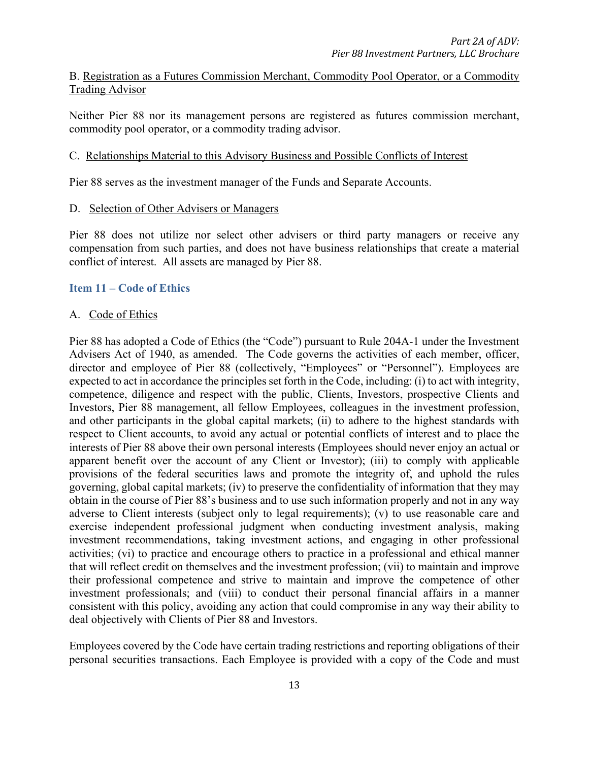## B. Registration as a Futures Commission Merchant, Commodity Pool Operator, or a Commodity Trading Advisor

Neither Pier 88 nor its management persons are registered as futures commission merchant, commodity pool operator, or a commodity trading advisor.

#### C. Relationships Material to this Advisory Business and Possible Conflicts of Interest

Pier 88 serves as the investment manager of the Funds and Separate Accounts.

#### D. Selection of Other Advisers or Managers

Pier 88 does not utilize nor select other advisers or third party managers or receive any compensation from such parties, and does not have business relationships that create a material conflict of interest. All assets are managed by Pier 88.

### **Item 11 – Code of Ethics**

#### A. Code of Ethics

Pier 88 has adopted a Code of Ethics (the "Code") pursuant to Rule 204A-1 under the Investment Advisers Act of 1940, as amended. The Code governs the activities of each member, officer, director and employee of Pier 88 (collectively, "Employees" or "Personnel"). Employees are expected to act in accordance the principles set forth in the Code, including: (i) to act with integrity, competence, diligence and respect with the public, Clients, Investors, prospective Clients and Investors, Pier 88 management, all fellow Employees, colleagues in the investment profession, and other participants in the global capital markets; (ii) to adhere to the highest standards with respect to Client accounts, to avoid any actual or potential conflicts of interest and to place the interests of Pier 88 above their own personal interests (Employees should never enjoy an actual or apparent benefit over the account of any Client or Investor); (iii) to comply with applicable provisions of the federal securities laws and promote the integrity of, and uphold the rules governing, global capital markets; (iv) to preserve the confidentiality of information that they may obtain in the course of Pier 88's business and to use such information properly and not in any way adverse to Client interests (subject only to legal requirements); (v) to use reasonable care and exercise independent professional judgment when conducting investment analysis, making investment recommendations, taking investment actions, and engaging in other professional activities; (vi) to practice and encourage others to practice in a professional and ethical manner that will reflect credit on themselves and the investment profession; (vii) to maintain and improve their professional competence and strive to maintain and improve the competence of other investment professionals; and (viii) to conduct their personal financial affairs in a manner consistent with this policy, avoiding any action that could compromise in any way their ability to deal objectively with Clients of Pier 88 and Investors.

Employees covered by the Code have certain trading restrictions and reporting obligations of their personal securities transactions. Each Employee is provided with a copy of the Code and must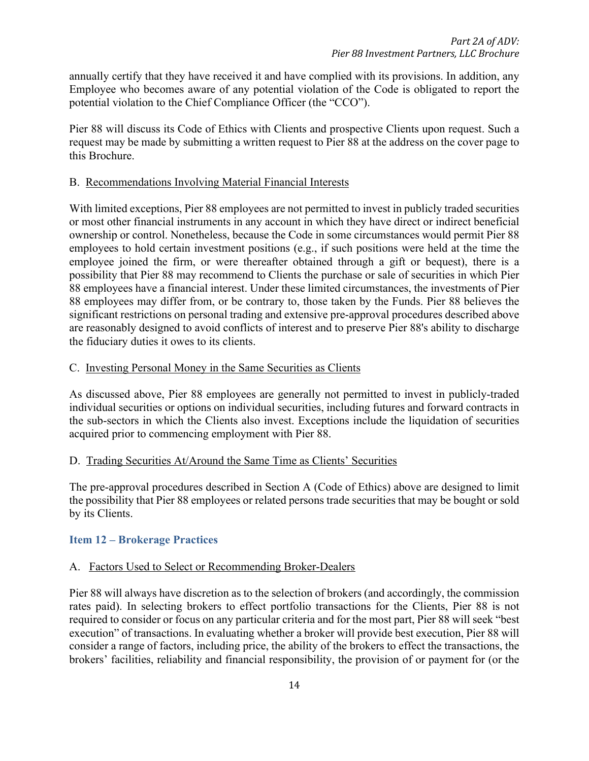annually certify that they have received it and have complied with its provisions. In addition, any Employee who becomes aware of any potential violation of the Code is obligated to report the potential violation to the Chief Compliance Officer (the "CCO").

Pier 88 will discuss its Code of Ethics with Clients and prospective Clients upon request. Such a request may be made by submitting a written request to Pier 88 at the address on the cover page to this Brochure.

## B. Recommendations Involving Material Financial Interests

With limited exceptions, Pier 88 employees are not permitted to invest in publicly traded securities or most other financial instruments in any account in which they have direct or indirect beneficial ownership or control. Nonetheless, because the Code in some circumstances would permit Pier 88 employees to hold certain investment positions (e.g., if such positions were held at the time the employee joined the firm, or were thereafter obtained through a gift or bequest), there is a possibility that Pier 88 may recommend to Clients the purchase or sale of securities in which Pier 88 employees have a financial interest. Under these limited circumstances, the investments of Pier 88 employees may differ from, or be contrary to, those taken by the Funds. Pier 88 believes the significant restrictions on personal trading and extensive pre-approval procedures described above are reasonably designed to avoid conflicts of interest and to preserve Pier 88's ability to discharge the fiduciary duties it owes to its clients.

# C. Investing Personal Money in the Same Securities as Clients

As discussed above, Pier 88 employees are generally not permitted to invest in publicly-traded individual securities or options on individual securities, including futures and forward contracts in the sub-sectors in which the Clients also invest. Exceptions include the liquidation of securities acquired prior to commencing employment with Pier 88.

# D. Trading Securities At/Around the Same Time as Clients' Securities

The pre-approval procedures described in Section A (Code of Ethics) above are designed to limit the possibility that Pier 88 employees or related persons trade securities that may be bought or sold by its Clients.

# **Item 12 – Brokerage Practices**

# A. Factors Used to Select or Recommending Broker-Dealers

Pier 88 will always have discretion as to the selection of brokers (and accordingly, the commission rates paid). In selecting brokers to effect portfolio transactions for the Clients, Pier 88 is not required to consider or focus on any particular criteria and for the most part, Pier 88 will seek "best execution" of transactions. In evaluating whether a broker will provide best execution, Pier 88 will consider a range of factors, including price, the ability of the brokers to effect the transactions, the brokers' facilities, reliability and financial responsibility, the provision of or payment for (or the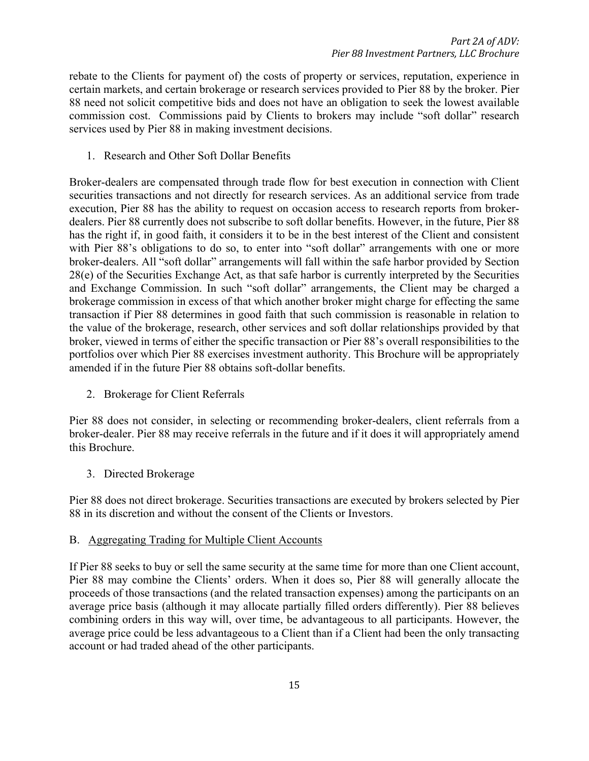rebate to the Clients for payment of) the costs of property or services, reputation, experience in certain markets, and certain brokerage or research services provided to Pier 88 by the broker. Pier 88 need not solicit competitive bids and does not have an obligation to seek the lowest available commission cost. Commissions paid by Clients to brokers may include "soft dollar" research services used by Pier 88 in making investment decisions.

1. Research and Other Soft Dollar Benefits

Broker-dealers are compensated through trade flow for best execution in connection with Client securities transactions and not directly for research services. As an additional service from trade execution, Pier 88 has the ability to request on occasion access to research reports from brokerdealers. Pier 88 currently does not subscribe to soft dollar benefits. However, in the future, Pier 88 has the right if, in good faith, it considers it to be in the best interest of the Client and consistent with Pier 88's obligations to do so, to enter into "soft dollar" arrangements with one or more broker-dealers. All "soft dollar" arrangements will fall within the safe harbor provided by Section 28(e) of the Securities Exchange Act, as that safe harbor is currently interpreted by the Securities and Exchange Commission. In such "soft dollar" arrangements, the Client may be charged a brokerage commission in excess of that which another broker might charge for effecting the same transaction if Pier 88 determines in good faith that such commission is reasonable in relation to the value of the brokerage, research, other services and soft dollar relationships provided by that broker, viewed in terms of either the specific transaction or Pier 88's overall responsibilities to the portfolios over which Pier 88 exercises investment authority. This Brochure will be appropriately amended if in the future Pier 88 obtains soft-dollar benefits.

2. Brokerage for Client Referrals

Pier 88 does not consider, in selecting or recommending broker-dealers, client referrals from a broker-dealer. Pier 88 may receive referrals in the future and if it does it will appropriately amend this Brochure.

3. Directed Brokerage

Pier 88 does not direct brokerage. Securities transactions are executed by brokers selected by Pier 88 in its discretion and without the consent of the Clients or Investors.

#### B. Aggregating Trading for Multiple Client Accounts

If Pier 88 seeks to buy or sell the same security at the same time for more than one Client account, Pier 88 may combine the Clients' orders. When it does so, Pier 88 will generally allocate the proceeds of those transactions (and the related transaction expenses) among the participants on an average price basis (although it may allocate partially filled orders differently). Pier 88 believes combining orders in this way will, over time, be advantageous to all participants. However, the average price could be less advantageous to a Client than if a Client had been the only transacting account or had traded ahead of the other participants.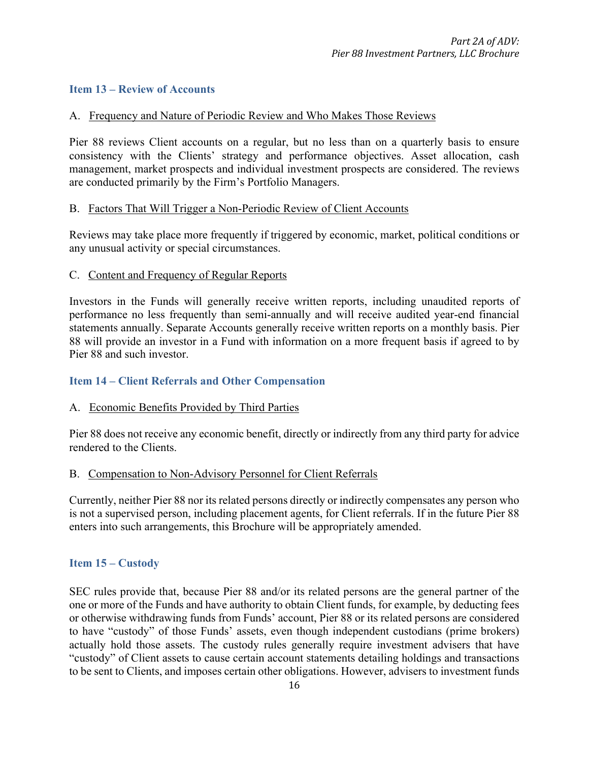## **Item 13 – Review of Accounts**

#### A. Frequency and Nature of Periodic Review and Who Makes Those Reviews

Pier 88 reviews Client accounts on a regular, but no less than on a quarterly basis to ensure consistency with the Clients' strategy and performance objectives. Asset allocation, cash management, market prospects and individual investment prospects are considered. The reviews are conducted primarily by the Firm's Portfolio Managers.

#### B. Factors That Will Trigger a Non-Periodic Review of Client Accounts

Reviews may take place more frequently if triggered by economic, market, political conditions or any unusual activity or special circumstances.

#### C. Content and Frequency of Regular Reports

Investors in the Funds will generally receive written reports, including unaudited reports of performance no less frequently than semi-annually and will receive audited year-end financial statements annually. Separate Accounts generally receive written reports on a monthly basis. Pier 88 will provide an investor in a Fund with information on a more frequent basis if agreed to by Pier 88 and such investor.

### **Item 14 – Client Referrals and Other Compensation**

#### A. Economic Benefits Provided by Third Parties

Pier 88 does not receive any economic benefit, directly or indirectly from any third party for advice rendered to the Clients.

#### B. Compensation to Non-Advisory Personnel for Client Referrals

Currently, neither Pier 88 nor its related persons directly or indirectly compensates any person who is not a supervised person, including placement agents, for Client referrals. If in the future Pier 88 enters into such arrangements, this Brochure will be appropriately amended.

#### **Item 15 – Custody**

SEC rules provide that, because Pier 88 and/or its related persons are the general partner of the one or more of the Funds and have authority to obtain Client funds, for example, by deducting fees or otherwise withdrawing funds from Funds' account, Pier 88 or its related persons are considered to have "custody" of those Funds' assets, even though independent custodians (prime brokers) actually hold those assets. The custody rules generally require investment advisers that have "custody" of Client assets to cause certain account statements detailing holdings and transactions to be sent to Clients, and imposes certain other obligations. However, advisers to investment funds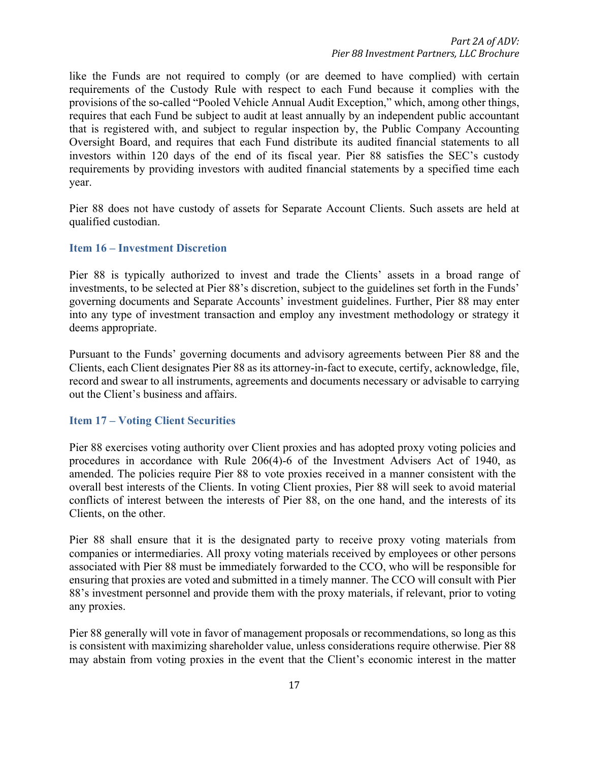like the Funds are not required to comply (or are deemed to have complied) with certain requirements of the Custody Rule with respect to each Fund because it complies with the provisions of the so-called "Pooled Vehicle Annual Audit Exception," which, among other things, requires that each Fund be subject to audit at least annually by an independent public accountant that is registered with, and subject to regular inspection by, the Public Company Accounting Oversight Board, and requires that each Fund distribute its audited financial statements to all investors within 120 days of the end of its fiscal year. Pier 88 satisfies the SEC's custody requirements by providing investors with audited financial statements by a specified time each year.

Pier 88 does not have custody of assets for Separate Account Clients. Such assets are held at qualified custodian.

#### **Item 16 – Investment Discretion**

Pier 88 is typically authorized to invest and trade the Clients' assets in a broad range of investments, to be selected at Pier 88's discretion, subject to the guidelines set forth in the Funds' governing documents and Separate Accounts' investment guidelines. Further, Pier 88 may enter into any type of investment transaction and employ any investment methodology or strategy it deems appropriate.

Pursuant to the Funds' governing documents and advisory agreements between Pier 88 and the Clients, each Client designates Pier 88 as its attorney-in-fact to execute, certify, acknowledge, file, record and swear to all instruments, agreements and documents necessary or advisable to carrying out the Client's business and affairs.

#### **Item 17 – Voting Client Securities**

Pier 88 exercises voting authority over Client proxies and has adopted proxy voting policies and procedures in accordance with Rule 206(4)-6 of the Investment Advisers Act of 1940, as amended. The policies require Pier 88 to vote proxies received in a manner consistent with the overall best interests of the Clients. In voting Client proxies, Pier 88 will seek to avoid material conflicts of interest between the interests of Pier 88, on the one hand, and the interests of its Clients, on the other.

Pier 88 shall ensure that it is the designated party to receive proxy voting materials from companies or intermediaries. All proxy voting materials received by employees or other persons associated with Pier 88 must be immediately forwarded to the CCO, who will be responsible for ensuring that proxies are voted and submitted in a timely manner. The CCO will consult with Pier 88's investment personnel and provide them with the proxy materials, if relevant, prior to voting any proxies.

Pier 88 generally will vote in favor of management proposals or recommendations, so long as this is consistent with maximizing shareholder value, unless considerations require otherwise. Pier 88 may abstain from voting proxies in the event that the Client's economic interest in the matter